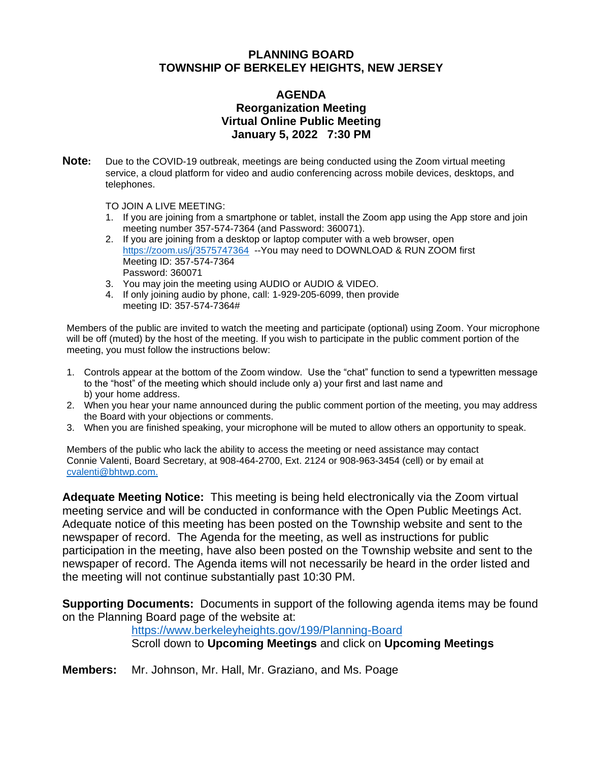## **PLANNING BOARD TOWNSHIP OF BERKELEY HEIGHTS, NEW JERSEY**

#### **AGENDA Reorganization Meeting Virtual Online Public Meeting January 5, 2022 7:30 PM**

**Note:** Due to the COVID-19 outbreak, meetings are being conducted using the Zoom virtual meeting service, a cloud platform for video and audio conferencing across mobile devices, desktops, and telephones.

TO JOIN A LIVE MEETING:

- 1. If you are joining from a smartphone or tablet, install the Zoom app using the App store and join meeting number 357-574-7364 (and Password: 360071).
- 2. If you are joining from a desktop or laptop computer with a web browser, open <https://zoom.us/j/3575747364>--You may need to DOWNLOAD & RUN ZOOM first Meeting ID: 357-574-7364 Password: 360071
- 3. You may join the meeting using AUDIO or AUDIO & VIDEO.
- 4. If only joining audio by phone, call: 1-929-205-6099, then provide meeting ID: 357-574-7364#

Members of the public are invited to watch the meeting and participate (optional) using Zoom. Your microphone will be off (muted) by the host of the meeting. If you wish to participate in the public comment portion of the meeting, you must follow the instructions below:

- 1. Controls appear at the bottom of the Zoom window. Use the "chat" function to send a typewritten message to the "host" of the meeting which should include only a) your first and last name and b) your home address.
- 2. When you hear your name announced during the public comment portion of the meeting, you may address the Board with your objections or comments.
- 3. When you are finished speaking, your microphone will be muted to allow others an opportunity to speak.

Members of the public who lack the ability to access the meeting or need assistance may contact Connie Valenti, Board Secretary, at 908-464-2700, Ext. 2124 or 908-963-3454 (cell) or by email at [cvalenti@bhtwp.com.](mailto:cvalenti@bhtwp.com)

**Adequate Meeting Notice:** This meeting is being held electronically via the Zoom virtual meeting service and will be conducted in conformance with the Open Public Meetings Act. Adequate notice of this meeting has been posted on the Township website and sent to the newspaper of record. The Agenda for the meeting, as well as instructions for public participation in the meeting, have also been posted on the Township website and sent to the newspaper of record. The Agenda items will not necessarily be heard in the order listed and the meeting will not continue substantially past 10:30 PM.

**Supporting Documents:** Documents in support of the following agenda items may be found on the Planning Board page of the website at:

#### <https://www.berkeleyheights.gov/199/Planning-Board>

Scroll down to **Upcoming Meetings** and click on **Upcoming Meetings**

**Members:** Mr. Johnson, Mr. Hall, Mr. Graziano, and Ms. Poage